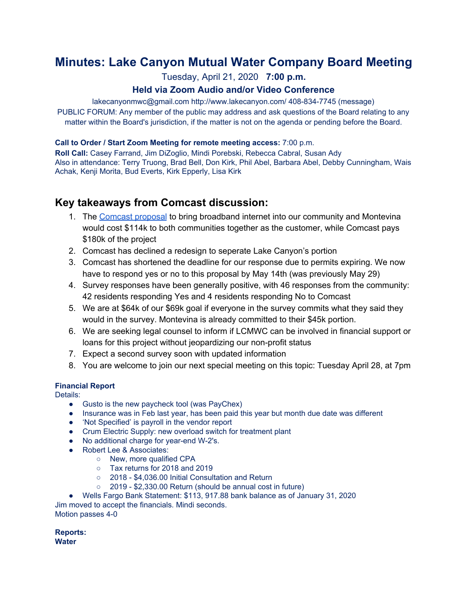# **Minutes: Lake Canyon Mutual Water Company Board Meeting**

## Tuesday, April 21, 2020 **7:00 p.m.**

## **Held via Zoom Audio and/or Video Conference**

lakecanyonmwc@gmail.com http://www.lakecanyon.com/ 408-834-7745 (message) PUBLIC FORUM: Any member of the public may address and ask questions of the Board relating to any matter within the Board's jurisdiction, if the matter is not on the agenda or pending before the Board.

### **Call to Order / Start Zoom Meeting for remote meeting access:** 7:00 p.m.

**Roll Call:** Casey Farrand, Jim DiZoglio, Mindi Porebski, Rebecca Cabral, Susan Ady Also in attendance: Terry Truong, Brad Bell, Don Kirk, Phil Abel, Barbara Abel, Debby Cunningham, Wais Achak, Kenji Morita, Bud Everts, Kirk Epperly, Lisa Kirk

## **Key takeaways from Comcast discussion:**

- 1. The [Comcast](https://04d06689-0ea0-4645-b96f-f074b14d77f4.filesusr.com/ugd/7e7611_2c4893b9692a4efbb1f84caa1a318748.pdf) proposal to bring broadband internet into our community and Montevina would cost \$114k to both communities together as the customer, while Comcast pays \$180k of the project
- 2. Comcast has declined a redesign to seperate Lake Canyon's portion
- 3. Comcast has shortened the deadline for our response due to permits expiring. We now have to respond yes or no to this proposal by May 14th (was previously May 29)
- 4. Survey responses have been generally positive, with 46 responses from the community: 42 residents responding Yes and 4 residents responding No to Comcast
- 5. We are at \$64k of our \$69k goal if everyone in the survey commits what they said they would in the survey. Montevina is already committed to their \$45k portion.
- 6. We are seeking legal counsel to inform if LCMWC can be involved in financial support or loans for this project without jeopardizing our non-profit status
- 7. Expect a second survey soon with updated information
- 8. You are welcome to join our next special meeting on this topic: Tuesday April 28, at 7pm

## **Financial Report**

Details:

- Gusto is the new paycheck tool (was PayChex)
- Insurance was in Feb last year, has been paid this year but month due date was different
- 'Not Specified' is payroll in the vendor report
- Crum Electric Supply: new overload switch for treatment plant
- No additional charge for year-end W-2's.
- Robert Lee & Associates:
	- New, more qualified CPA
	- Tax returns for 2018 and 2019
	- 2018 \$4,036.00 Initial Consultation and Return
	- 2019 \$2,330.00 Return (should be annual cost in future)
- Wells Fargo Bank Statement: \$113, 917.88 bank balance as of January 31, 2020

Jim moved to accept the financials. Mindi seconds. Motion passes 4-0

**Reports: Water**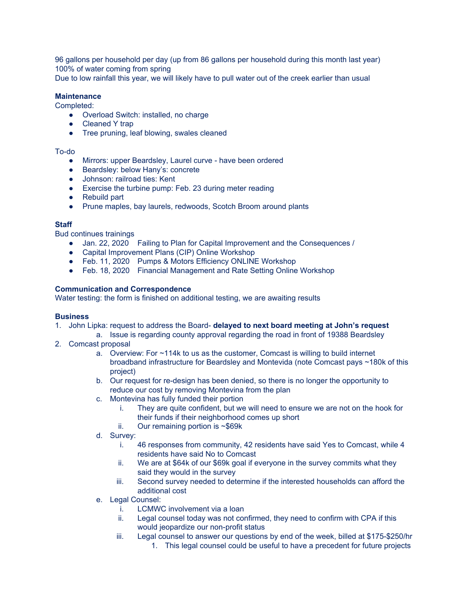96 gallons per household per day (up from 86 gallons per household during this month last year) 100% of water coming from spring

Due to low rainfall this year, we will likely have to pull water out of the creek earlier than usual

#### **Maintenance**

Completed:

- Overload Switch: installed, no charge
- Cleaned Y trap
- Tree pruning, leaf blowing, swales cleaned

#### To-do

- Mirrors: upper Beardsley, Laurel curve have been ordered
- Beardsley: below Hany's: concrete
- Johnson: railroad ties: Kent
- Exercise the turbine pump: Feb. 23 during meter reading
- Rebuild part
- Prune maples, bay laurels, redwoods, Scotch Broom around plants

#### **Staff**

Bud continues trainings

- Jan. 22, 2020 Failing to Plan for Capital Improvement and the Consequences /
- Capital Improvement Plans (CIP) Online Workshop
- Feb. 11, 2020 Pumps & Motors Efficiency ONLINE Workshop
- Feb. 18, 2020 Financial Management and Rate Setting Online Workshop

#### **Communication and Correspondence**

Water testing: the form is finished on additional testing, we are awaiting results

#### **Business**

- 1. John Lipka: request to address the Board- **delayed to next board meeting at John's request**
	- a. Issue is regarding county approval regarding the road in front of 19388 Beardsley
- 2. Comcast proposal
	- a. Overview: For ~114k to us as the customer, Comcast is willing to build internet broadband infrastructure for Beardsley and Montevida (note Comcast pays ~180k of this project)
	- b. Our request for re-design has been denied, so there is no longer the opportunity to reduce our cost by removing Montevina from the plan
	- c. Montevina has fully funded their portion
		- i. They are quite confident, but we will need to ensure we are not on the hook for their funds if their neighborhood comes up short
		- ii. Our remaining portion is ~\$69k
	- d. Survey:
		- i. 46 responses from community, 42 residents have said Yes to Comcast, while 4 residents have said No to Comcast
		- ii. We are at \$64k of our \$69k goal if everyone in the survey commits what they said they would in the survey
		- iii. Second survey needed to determine if the interested households can afford the additional cost
	- e. Legal Counsel:
		- i. LCMWC involvement via a loan
		- ii. Legal counsel today was not confirmed, they need to confirm with CPA if this would jeopardize our non-profit status
		- iii. Legal counsel to answer our questions by end of the week, billed at \$175-\$250/hr
			- 1. This legal counsel could be useful to have a precedent for future projects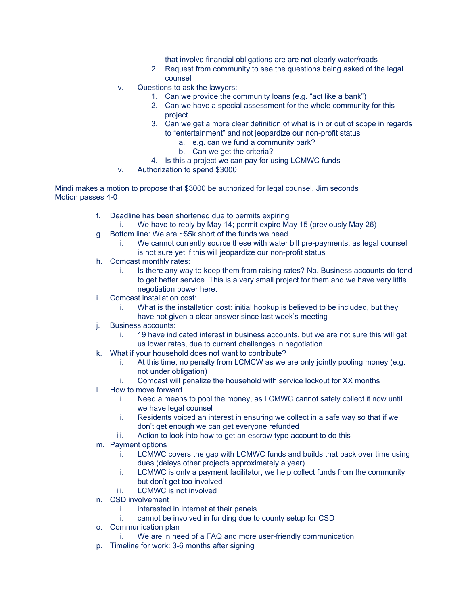that involve financial obligations are are not clearly water/roads

- 2. Request from community to see the questions being asked of the legal counsel
- iv. Questions to ask the lawyers:
	- 1. Can we provide the community loans (e.g. "act like a bank")
	- 2. Can we have a special assessment for the whole community for this project
	- 3. Can we get a more clear definition of what is in or out of scope in regards to "entertainment" and not jeopardize our non-profit status
		- a. e.g. can we fund a community park?
		- b. Can we get the criteria?
	- 4. Is this a project we can pay for using LCMWC funds
- v. Authorization to spend \$3000

Mindi makes a motion to propose that \$3000 be authorized for legal counsel. Jim seconds Motion passes 4-0

- f. Deadline has been shortened due to permits expiring
	- i. We have to reply by May 14; permit expire May 15 (previously May 26)
- g. Bottom line: We are ~\$5k short of the funds we need
	- i. We cannot currently source these with water bill pre-payments, as legal counsel is not sure yet if this will jeopardize our non-profit status
- h. Comcast monthly rates:
	- i. Is there any way to keep them from raising rates? No. Business accounts do tend to get better service. This is a very small project for them and we have very little negotiation power here.
- i. Comcast installation cost:
	- i. What is the installation cost: initial hookup is believed to be included, but they have not given a clear answer since last week's meeting
- j. Business accounts:
	- i. 19 have indicated interest in business accounts, but we are not sure this will get us lower rates, due to current challenges in negotiation
- k. What if your household does not want to contribute?
	- i. At this time, no penalty from LCMCW as we are only jointly pooling money (e.g. not under obligation)
	- ii. Comcast will penalize the household with service lockout for XX months
- l. How to move forward
	- i. Need a means to pool the money, as LCMWC cannot safely collect it now until we have legal counsel
	- ii. Residents voiced an interest in ensuring we collect in a safe way so that if we don't get enough we can get everyone refunded
	- iii. Action to look into how to get an escrow type account to do this
- m. Payment options
	- i. LCMWC covers the gap with LCMWC funds and builds that back over time using dues (delays other projects approximately a year)
	- ii. LCMWC is only a payment facilitator, we help collect funds from the community but don't get too involved
	- iii. LCMWC is not involved
- n. CSD involvement
	- i. interested in internet at their panels
	- ii. cannot be involved in funding due to county setup for CSD
- o. Communication plan
	- i. We are in need of a FAQ and more user-friendly communication
- p. Timeline for work: 3-6 months after signing